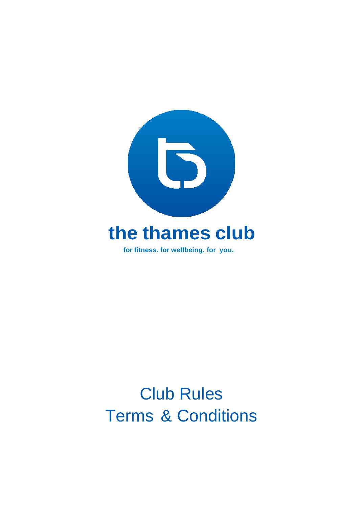

# Club Rules Terms & Conditions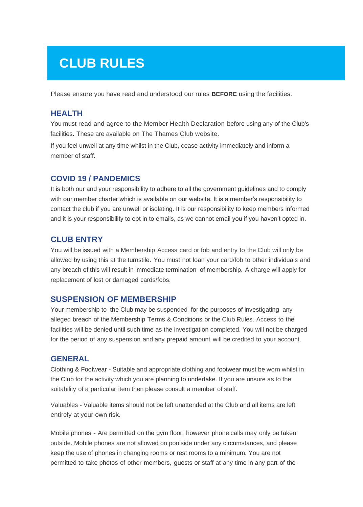# **CLUB RULES**

Please ensure you have read and understood our rules **BEFORE** using the facilities.

### **HEALTH**

You must read and agree to the Member Health Declaration before using any of the Club's facilities. These are available on The Thames Club website.

If you feel unwell at any time whilst in the Club, cease activity immediately and inform a member of staff.

### **COVID 19 / PANDEMICS**

It is both our and your responsibility to adhere to all the government guidelines and to comply with our member charter which is available on our website. It is a member's responsibility to contact the club if you are unwell or isolating. It is our responsibility to keep members informed and it is your responsibility to opt in to emails, as we cannot email you if you haven't opted in.

### **CLUB ENTRY**

You will be issued with a Membership Access card or fob and entry to the Club will only be allowed by using this at the turnstile. You must not loan your card/fob to other individuals and any breach of this will result in immediate termination of membership. A charge will apply for replacement of lost or damaged cards/fobs.

### **SUSPENSION OF MEMBERSHIP**

Your membership to the Club may be suspended for the purposes of investigating any alleged breach of the Membership Terms & Conditions or the Club Rules. Access to the facilities will be denied until such time as the investigation completed. You will not be charged for the period of any suspension and any prepaid amount will be credited to your account.

### **GENERAL**

Clothing & Footwear - Suitable and appropriate clothing and footwear must be worn whilst in the Club for the activity which you are planning to undertake. If you are unsure as to the suitability of a particular item then please consult a member of staff.

Valuables - Valuable items should not be left unattended at the Club and all items are left entirely at your own risk.

Mobile phones - Are permitted on the gym floor, however phone calls may only be taken outside. Mobile phones are not allowed on poolside under any circumstances, and please keep the use of phones in changing rooms or rest rooms to a minimum. You are not permitted to take photos of other members, guests or staff at any time in any part of the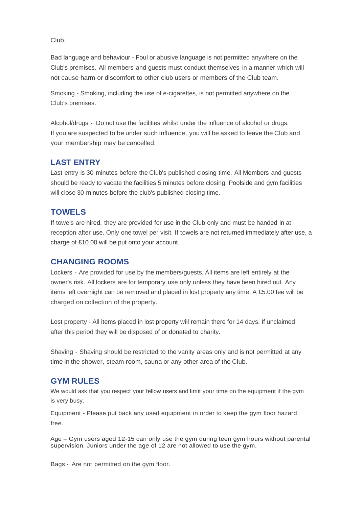Club.

Bad language and behaviour - Foul or abusive language is not permitted anywhere on the Club's premises. All members and guests must conduct themselves in a manner which will not cause harm or discomfort to other club users or members of the Club team.

Smoking - Smoking, including the use of e-cigarettes, is not permitted anywhere on the Club's premises.

Alcohol/drugs - Do not use the facilities whilst under the influence of alcohol or drugs. If you are suspected to be under such influence, you will be asked to leave the Club and your membership may be cancelled.

### **LAST ENTRY**

Last entry is 30 minutes before the Club's published closing time. All Members and guests should be ready to vacate the facilities 5 minutes before closing. Poolside and gym facilities will close 30 minutes before the club's published closing time.

### **TOWELS**

If towels are hired, they are provided for use in the Club only and must be handed in at reception after use. Only one towel per visit. If towels are not returned immediately after use, a charge of £10.00 will be put onto your account.

### **CHANGING ROOMS**

Lockers - Are provided for use by the members/guests. All items are left entirely at the owner's risk. All lockers are for temporary use only unless they have been hired out. Any items left overnight can be removed and placed in lost property any time. A £5.00 fee will be charged on collection of the property.

Lost property - All items placed in lost property will remain there for 14 days. If unclaimed after this period they will be disposed of or donated to charity.

Shaving - Shaving should be restricted to the vanity areas only and is not permitted at any time in the shower, steam room, sauna or any other area of the Club.

### **GYM RULES**

We would ask that you respect your fellow users and limit your time on the equipment if the gym is very busy.

Equipment - Please put back any used equipment in order to keep the gym floor hazard free.

Age – Gym users aged 12-15 can only use the gym during teen gym hours without parental supervision. Juniors under the age of 12 are not allowed to use the gym.

Bags - Are not permitted on the gym floor.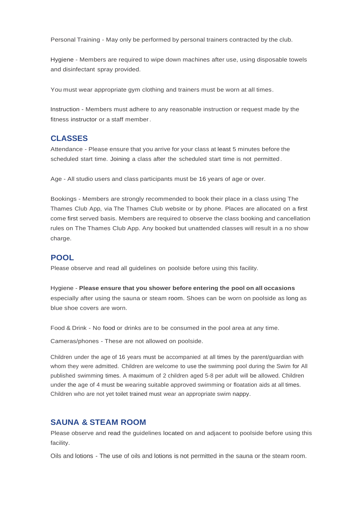Personal Training - May only be performed by personal trainers contracted by the club.

Hygiene - Members are required to wipe down machines after use, using disposable towels and disinfectant spray provided

You must wear appropriate gym clothing and trainers must be worn at all times.

Instruction - Members must adhere to any reasonable instruction or request made by the fitness instructor or a staff member.

### **CLASSES**

Attendance - Please ensure that you arrive for your class at least 5 minutes before the scheduled start time. Joining a class after the scheduled start time is not permitted .

Age - All studio users and class participants must be 16 years of age or over.

Bookings - Members are strongly recommended to book their place in a class using The Thames Club App, via The Thames Club website or by phone. Places are allocated on a first come first served basis. Members are required to observe the class booking and cancellation rules on The Thames Club App. Any booked but unattended classes will result in a no show charge.

### **POOL**

Please observe and read all guidelines on poolside before using this facility.

Hygiene - **Please ensure that you shower before entering the pool on all occasions** especially after using the sauna or steam room. Shoes can be worn on poolside as long as blue shoe covers are worn.

Food & Drink - No food or drinks are to be consumed in the pool area at any time.

Cameras/phones - These are not allowed on poolside.

Children under the age of 16 years must be accompanied at all times by the parent/guardian with whom they were admitted. Children are welcome to use the swimming pool during the Swim for All published swimming times. A maximum of 2 children aged 5-8 per adult will be allowed. Children under the age of 4 must be wearing suitable approved swimming or floatation aids at all times. Children who are not yet toilet trained must wear an appropriate swim nappy.

### **SAUNA & STEAM ROOM**

Please observe and read the guidelines located on and adjacent to poolside before using this facility.

Oils and lotions - The use of oils and lotions is not permitted in the sauna or the steam room.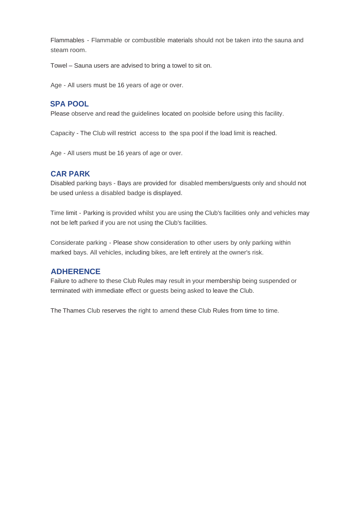Flammables - Flammable or combustible materials should not be taken into the sauna and steam room.

Towel – Sauna users are advised to bring a towel to sit on.

Age - All users must be 16 years of age or over.

### **SPA POOL**

Please observe and read the guidelines located on poolside before using this facility.

Capacity - The Club will restrict access to the spa pool if the load limit is reached.

Age - All users must be 16 years of age or over.

### **CAR PARK**

Disabled parking bays - Bays are provided for disabled members/guests only and should not be used unless a disabled badge is displayed.

Time limit - Parking is provided whilst you are using the Club's facilities only and vehicles may not be left parked if you are not using the Club's facilities.

Considerate parking - Please show consideration to other users by only parking within marked bays. All vehicles, including bikes, are left entirely at the owner's risk.

### **ADHERENCE**

Failure to adhere to these Club Rules may result in your membership being suspended or terminated with immediate effect or guests being asked to leave the Club.

The Thames Club reserves the right to amend these Club Rules from time to time.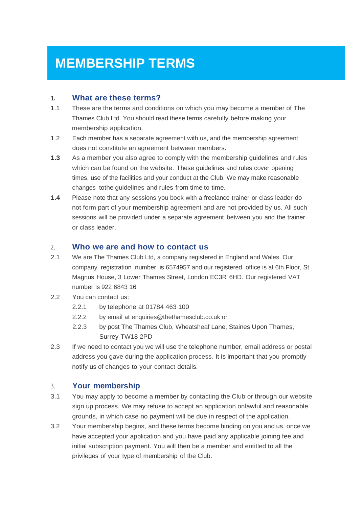# **MEMBERSHIP TERMS**

### **1. What are these terms?**

- 1.1 These are the terms and conditions on which you may become a member of The Thames Club Ltd. You should read these terms carefully before making your membership application.
- 1.2 Each member has a separate agreement with us, and the membership agreement does not constitute an agreement between members.
- **1.3** As a member you also agree to comply with the membership guidelines and rules which can be found on the website. These guidelines and rules cover opening times, use of the facilities and your conduct at the Club. We may make reasonable changes tothe guidelines and rules from time to time.
- **1.4** Please note that any sessions you book with a freelance trainer or class leader do not form part of your membership agreement and are not provided by us. All such sessions will be provided under a separate agreement between you and the trainer or class leader.

### 2. **Who we are and how to contact us**

- 2.1 We are The Thames Club Ltd, a company registered in England and Wales. Our company registration number is 6574957 and our registered office is at 6th Floor, St Magnus House, 3 Lower Thames Street, London EC3R 6HD. Our registered VAT number is 922 6843 16
- 2.2 You can contact us:
	- 2.2.1 by telephone at 01784 463 100
	- 2.2.2 by email at enquiries@thethamesclub.co.uk or
	- 2.2.3 by post The Thames Club, Wheatsheaf Lane, Staines Upon Thames, Surrey TW18 2PD
- 2.3 If we need to contact you we will use the telephone number, email address or postal address you gave during the application process. It is important that you promptly notify us of changes to your contact details.

### 3. **Your membership**

- 3.1 You may apply to become a member by contacting the Club or through our website sign up process. We may refuse to accept an application onlawful and reasonable grounds, in which case no payment will be due in respect of the application.
- 3.2 Your membership begins, and these terms become binding on you and us, once we have accepted your application and you have paid any applicable joining fee and initial subscription payment. You will then be a member and entitled to all the privileges of your type of membership of the Club.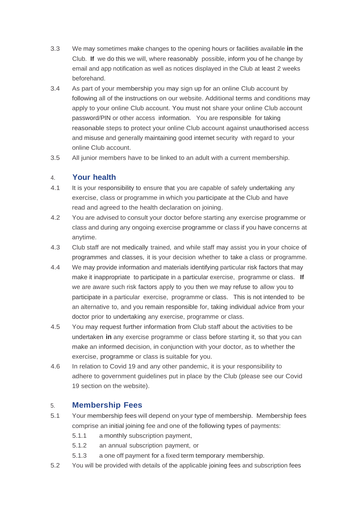- 3.3 We may sometimes make changes to the opening hours or facilities available **in** the Club. **If** we do this we will, where reasonably possible, inform you of he change by email and app notification as well as notices displayed in the Club at least 2 weeks beforehand.
- 3.4 As part of your membership you may sign up for an online Club account by following all of the instructions on our website. Additional terms and conditions may apply to your online Club account. You must not share your online Club account password/PIN or other access information. You are responsible for taking reasonable steps to protect your online Club account against unauthorised access and misuse and generally maintaining good internet security with regard to your online Club account.
- 3.5 All junior members have to be linked to an adult with a current membership.

#### 4. **Your health**

- 4.1 It is your responsibility to ensure that you are capable of safely undertaking any exercise, class or programme in which you participate at the Club and have read and agreed to the health declaration on joining.
- 4.2 You are advised to consult your doctor before starting any exercise programme or class and during any ongoing exercise programme or class if you have concerns at anytime.
- 4.3 Club staff are not medically trained, and while staff may assist you in your choice of programmes and classes, it is your decision whether to take a class or programme.
- 4.4 We may provide information and materials identifying particular risk factors that may make it inappropriate to participate in a particular exercise, programme or class. **If** we are aware such risk factors apply to you then we may refuse to allow you to participate in a particular exercise, programme or class. This is not intended to be an alternative to, and you remain responsible for, taking individual advice from your doctor prior to undertaking any exercise, programme or class.
- 4.5 You may request further information from Club staff about the activities to be undertaken **in** any exercise programme or class before starting it, so that you can make an informed decision, in conjunction with your doctor, as to whether the exercise, programme or class is suitable for you.
- 4.6 In relation to Covid 19 and any other pandemic, it is your responsibility to adhere to government guidelines put in place by the Club (please see our Covid 19 section on the website).

#### 5. **Membership Fees**

- 5.1 Your membership fees will depend on your type of membership. Membership fees comprise an initial joining fee and one of the following types of payments:
	- 5.1.1 a monthly subscription payment,
	- 5.1.2 an annual subscription payment, or
	- 5.1.3 a one off payment for a fixed term temporary membership.
- 5.2 You will be provided with details of the applicable joining fees and subscription fees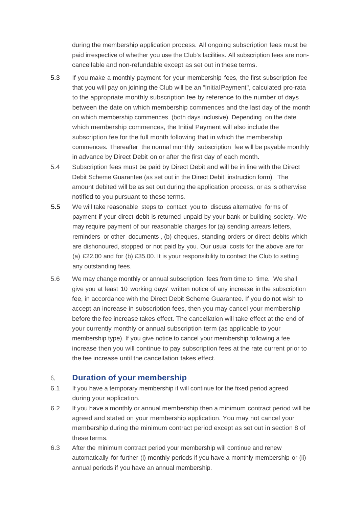during the membership application process. All ongoing subscription fees must be paid irrespective of whether you use the Club's facilities. All subscription fees are noncancellable and non-refundable except as set out in these terms.

- 5.3 If you make a monthly payment for your membership fees, the first subscription fee that you will pay on joining the Club will be an "InitialPayment", calculated pro-rata to the appropriate monthly subscription fee by reference to the number of days between the date on which membership commences and the last day of the month on which membership commences (both days inclusive). Depending on the date which membership commences, the Initial Payment will also include the subscription fee for the full month following that in which the membership commences. Thereafter the normal monthly subscription fee will be payable monthly in advance by Direct Debit on or after the first day of each month.
- 5.4 Subscription fees must be paid by Direct Debit and will be in line with the Direct Debit Scheme Guarantee (as set out in the Direct Debit instruction form). The amount debited will be as set out during the application process, or as is otherwise notified to you pursuant to these terms.
- 5.5 We will take reasonable steps to contact you to discuss alternative forms of payment if your direct debit is returned unpaid by your bank or building society. We may require payment of our reasonable charges for (a) sending arrears letters, reminders or other documents , (b) cheques, standing orders or direct debits which are dishonoured, stopped or not paid by you. Our usual costs for the above are for (a) £22.00 and for (b) £35.00. It is your responsibility to contact the Club to setting any outstanding fees.
- 5.6 We may change monthly or annual subscription fees from time to time. We shall give you at least 10 working days' written notice of any increase in the subscription fee, in accordance with the Direct Debit Scheme Guarantee. If you do not wish to accept an increase in subscription fees, then you may cancel your membership before the fee increase takes effect. The cancellation will take effect at the end of your currently monthly or annual subscription term (as applicable to your membership type). If you give notice to cancel your membership following a fee increase then you will continue to pay subscription fees at the rate current prior to the fee increase until the cancellation takes effect.

### 6. **Duration of your membership**

- 6.1 If you have a temporary membership it will continue for the fixed period agreed during your application.
- 6.2 If you have a monthly or annual membership then a minimum contract period will be agreed and stated on your membership application. You may not cancel your membership during the minimum contract period except as set out in section 8 of these terms.
- 6.3 After the minimum contract period your membership will continue and renew automatically for further (i) monthly periods if you have a monthly membership or (ii) annual periods if you have an annual membership.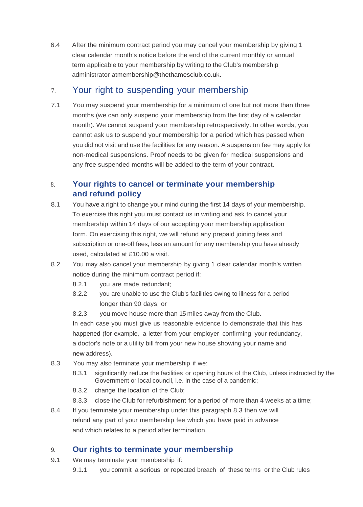6.4 After the minimum contract period you may cancel your membership by giving 1 clear calendar month's notice before the end of the current monthly or annual term applicable to your membership by writing to the Club's membership administrator [atmembership@thethamesclub.co.uk.](mailto:membership@thethamesclub.co.uk)

## 7. Your right to suspending your membership

7.1 You may suspend your membership for a minimum of one but not more than three months (we can only suspend your membership from the first day of a calendar month). We cannot suspend your membership retrospectively. In other words, you cannot ask us to suspend your membership for a period which has passed when you did not visit and use the facilities for any reason. A suspension fee may apply for non-medical suspensions. Proof needs to be given for medical suspensions and any free suspended months will be added to the term of your contract.

### 8. **Your rights to cancel or terminate your membership and refund policy**

- 8.1 You have a right to change your mind during the first 14 days of your membership. To exercise this right you must contact us in writing and ask to cancel your membership within 14 days of our accepting your membership application form. On exercising this right, we will refund any prepaid joining fees and subscription or one-off fees, less an amount for any membership you have already used, calculated at £10.00 a visit.
- 8.2 You may also cancel your membership by giving 1 clear calendar month's written notice during the minimum contract period if:
	- 8.2.1 you are made redundant;
	- 8.2.2 you are unable to use the Club's facilities owing to illness for a period longer than 90 days; or
	- 8.2.3 you move house more than 15 miles away from the Club.

In each case you must give us reasonable evidence to demonstrate that this has happened (for example, a letter from your employer confirming your redundancy, a doctor's note or a utility bill from your new house showing your name and new address).

- 8.3 You may also terminate your membership if we:
	- 8.3.1 significantly reduce the facilities or opening hours of the Club, unless instructed by the Government or local council, i.e. in the case of a pandemic;
	- 8.3.2 change the location of the Club;
	- 8.3.3 close the Club for refurbishment for a period of more than 4 weeks at a time;
- 8.4 If you terminate your membership under this paragraph 8.3 then we will refund any part of your membership fee which you have paid in advance and which relates to a period after termination.

### 9. **Our rights to terminate your membership**

- 9.1 We may terminate your membership if:
	- 9.1.1 you commit a serious or repeated breach of these terms or the Club rules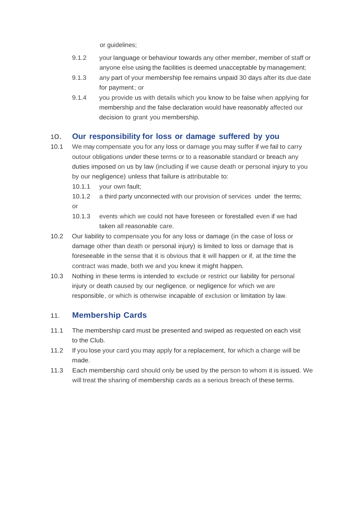or guidelines;

- 9.1.2 your language or behaviour towards any other member, member of staff or anyone else using the facilities is deemed unacceptable by management;
- 9.1.3 any part of your membership fee remains unpaid 30 days after its due date for payment; or
- 9.1.4 you provide us with details which you know to be false when applying for membership and the false declaration would have reasonably affected our decision to grant you membership.

### 1o. **Our responsibility for loss or damage suffered by you**

- 10.1 We may compensate you for any loss or damage you may suffer if we fail to carry outour obligations under these terms or to a reasonable standard or breach any duties imposed on us by law (including if we cause death or personal injury to you by our negligence) unless that failure is attributable to:
	- 10.1.1 your own fault;
	- 10.1.2 a third party unconnected with our provision of services under the terms; or
	- 10.1.3 events which we could not have foreseen or forestalled even if we had taken all reasonable care.
- 10.2 Our liability to compensate you for any loss or damage (in the case of loss or damage other than death or personal injury) is limited to loss or damage that is foreseeable in the sense that it is obvious that it will happen or if, at the time the contract was made, both we and you knew it might happen.
- 10.3 Nothing in these terms is intended to exclude or restrict our liability for personal injury or death caused by our negligence, or negligence for which we are responsible, or which is otherwise incapable of exclusion or limitation by law.

### 11. **Membership Cards**

- 11.1 The membership card must be presented and swiped as requested on each visit to the Club.
- 11.2 If you lose your card you may apply for a replacement, for which a charge will be made.
- 11.3 Each membership card should only be used by the person to whom it is issued. We will treat the sharing of membership cards as a serious breach of these terms.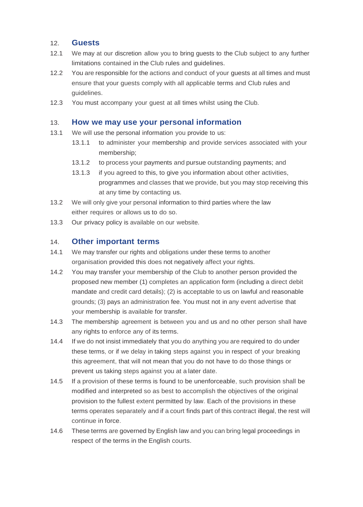### 12. **Guests**

- 12.1 We may at our discretion allow you to bring guests to the Club subject to any further limitations contained in the Club rules and guidelines.
- 12.2 You are responsible for the actions and conduct of your guests at all times and must ensure that your guests comply with all applicable terms and Club rules and guidelines.
- 12.3 You must accompany your guest at all times whilst using the Club.

### 13. **How we may use your personal information**

- 13.1 We will use the personal information you provide to us:
	- 13.1.1 to administer your membership and provide services associated with your membership;
	- 13.1.2 to process your payments and pursue outstanding payments; and
	- 13.1.3 if you agreed to this, to give you information about other activities, programmes and classes that we provide, but you may stop receiving this at any time by contacting us.
- 13.2 We will only give your personal information to third parties where the law either requires or allows us to do so.
- 13.3 Our privacy policy is available on our website.

### 14. **Other important terms**

- 14.1 We may transfer our rights and obligations under these terms to another organisation provided this does not negatively affect your rights.
- 14.2 You may transfer your membership of the Club to another person provided the proposed new member (1) completes an application form (including a direct debit mandate and credit card details); (2) is acceptable to us on lawful and reasonable grounds; (3) pays an administration fee. You must not in any event advertise that your membership is available for transfer.
- 14.3 The membership agreement is between you and us and no other person shall have any rights to enforce any of its terms.
- 14.4 If we do not insist immediately that you do anything you are required to do under these terms, or if we delay in taking steps against you in respect of your breaking this agreement, that will not mean that you do not have to do those things or prevent us taking steps against you at a later date.
- 14.5 If a provision of these terms is found to be unenforceable, such provision shall be modified and interpreted so as best to accomplish the objectives of the original provision to the fullest extent permitted by law. Each of the provisions in these terms operates separately and if a court finds part of this contract illegal, the rest will continue in force.
- 14.6 These terms are governed by English law and you can bring legal proceedings in respect of the terms in the English courts.